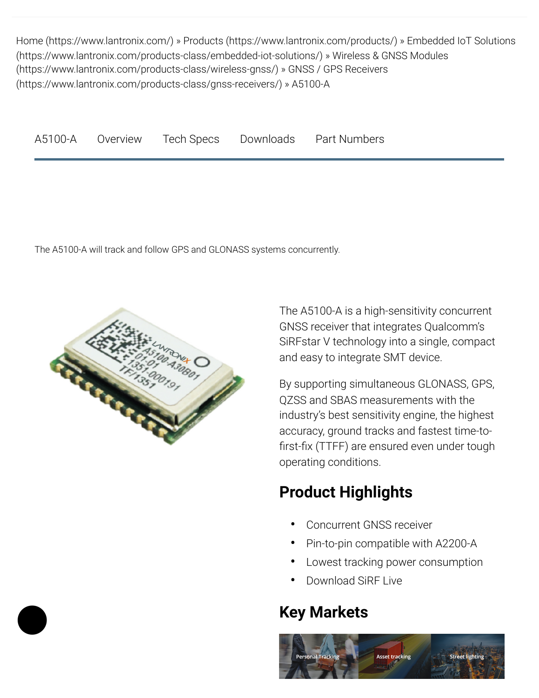<span id="page-0-5"></span>Home [\(https://www.lantronix.com/\)](https://www.lantronix.com/) » Products [\(https://www.lantronix.com/products/\)](https://www.lantronix.com/products/) » Embedded IoT Solutions [\(https://www.lantronix.com/products-class/embedded-iot-solutions/\)](https://www.lantronix.com/products-class/embedded-iot-solutions/) » Wireless & GNSS Modules (https://www.lantronix.com/products-class/wireless-gnss/) » GNSS / GPS Receivers [\(https://www.lantronix.com/products-class/gnss-receivers/\)](https://www.lantronix.com/products-class/gnss-receivers/) » A5100-A

<span id="page-0-2"></span><span id="page-0-1"></span><span id="page-0-0"></span>

| A5100-A | Overview | Tech Specs | Downloads | <b>Part Numbers</b> |
|---------|----------|------------|-----------|---------------------|
|---------|----------|------------|-----------|---------------------|

The A5100-A will track and follow GPS and GLONASS systems concurrently.



<span id="page-0-4"></span><span id="page-0-3"></span>The A5100-A is a high-sensitivity concurrent GNSS receiver that integrates Qualcomm's SiRFstar V technology into a single, compact and easy to integrate SMT device.

By supporting simultaneous GLONASS, GPS, QZSS and SBAS measurements with the industry's best sensitivity engine, the highest accuracy, ground tracks and fastest time-to first-fix (TTFF) are ensured even under tough operating conditions.

## **Product Highlights**

- **•** Concurrent GNSS receiver
- **•** Pin-to-pin compatible with A2200-A
- **•** Lowest tracking power consumption
- **•** Download SiRF Live

## **Key Markets**

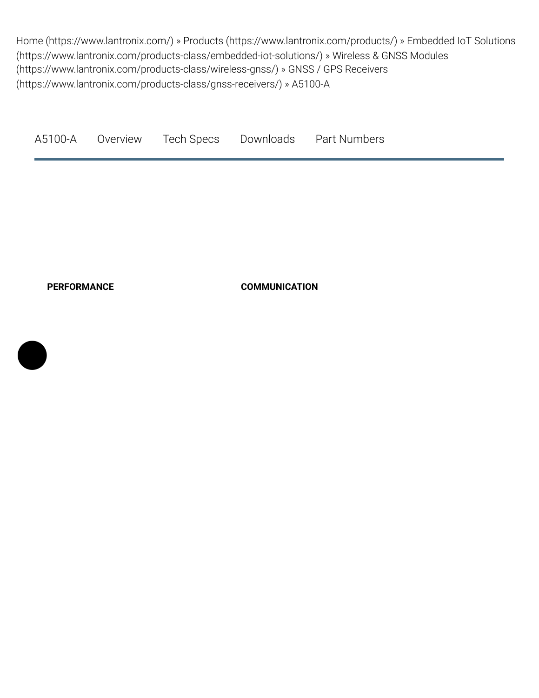Home [\(https://www.lantronix.com/\)](https://www.lantronix.com/) » Products [\(https://www.lantronix.com/products/\)](https://www.lantronix.com/products/) » Embedded IoT Solutions [\(https://www.lantronix.com/products-class/embedded-iot-solutions/\)](https://www.lantronix.com/products-class/embedded-iot-solutions/) » Wireless & GNSS Modules (https://www.lantronix.com/products-class/wireless-gnss/) » GNSS / GPS Receivers [\(https://www.lantronix.com/products-class/gnss-receivers/\)](https://www.lantronix.com/products-class/gnss-receivers/) » A5100-A

<span id="page-1-4"></span><span id="page-1-3"></span><span id="page-1-2"></span><span id="page-1-1"></span><span id="page-1-0"></span>[A5100-A](#page-1-0) [Overview](#page-1-1) [Tech Specs](#page-1-2) [Downloads](#page-1-3) [Part Numbers](#page-1-4)

**PERFORMANCE COMMUNICATION**

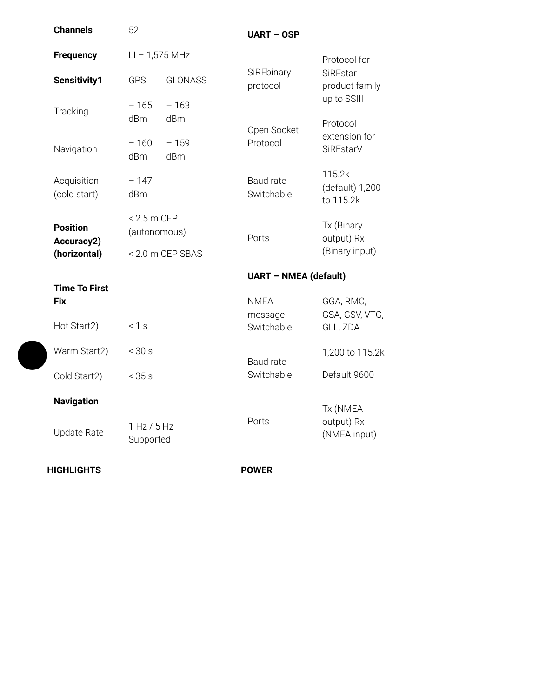| <b>Channels</b>                    | 52                            |                              | <b>UART - OSP</b>       |                                        |  |
|------------------------------------|-------------------------------|------------------------------|-------------------------|----------------------------------------|--|
| <b>Frequency</b>                   |                               | $LI - 1,575 MHz$             |                         | Protocol for                           |  |
| Sensitivity1                       | <b>GPS</b>                    | <b>GLONASS</b>               | SiRFbinary<br>protocol  | SiRFstar<br>product family             |  |
| Tracking                           | $-165$<br>dBm                 | $-163$<br>dBm                | Open Socket             | up to SSIII<br>Protocol                |  |
| Navigation                         | $-160$<br>dBm                 | $-159$<br>dBm                | Protocol                | extension for<br>SiRFstarV             |  |
| Acquisition<br>(cold start)        | $-147$<br>dBm                 |                              | Baud rate<br>Switchable | 115.2k<br>(default) 1,200<br>to 115.2k |  |
| <b>Position</b><br>Accuracy2)      | $< 2.5$ m CEP<br>(autonomous) |                              | Ports                   | Tx (Binary<br>output) Rx               |  |
| (horizontal)                       |                               | < 2.0 m CEP SBAS             | (Binary input)          |                                        |  |
|                                    |                               | <b>UART - NMEA (default)</b> |                         |                                        |  |
|                                    |                               |                              |                         |                                        |  |
| <b>Time To First</b><br><b>Fix</b> |                               |                              | <b>NMEA</b>             | GGA, RMC,                              |  |
| Hot Start2)                        | < 1 s                         |                              | message<br>Switchable   | GSA, GSV, VTG,<br>GLL, ZDA             |  |
| Warm Start2)                       | $<$ 30 s                      |                              |                         | 1,200 to 115.2k                        |  |
| Cold Start2)                       | < 35 s                        |                              | Baud rate<br>Switchable | Default 9600                           |  |
| <b>Navigation</b>                  |                               |                              |                         |                                        |  |
| <b>Update Rate</b>                 | 1 Hz / 5 Hz<br>Supported      |                              | Ports                   | Tx (NMEA<br>output) Rx<br>(NMEA input) |  |

 $\blacklozenge$